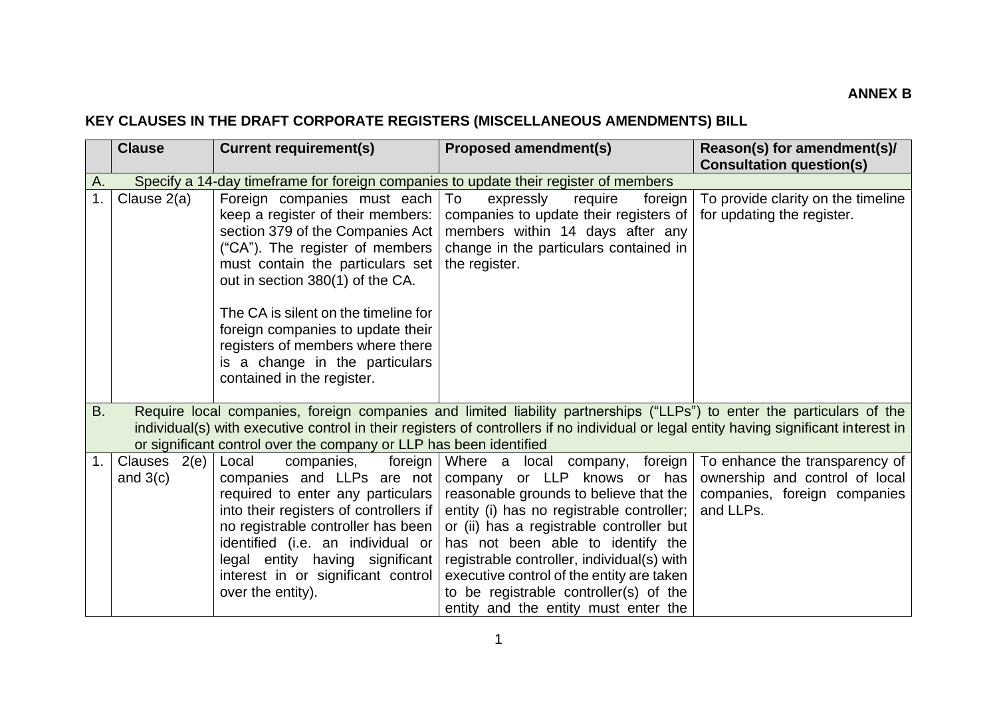## **KEY CLAUSES IN THE DRAFT CORPORATE REGISTERS (MISCELLANEOUS AMENDMENTS) BILL**

|           | <b>Clause</b>              | <b>Current requirement(s)</b>                                                                                                                                                                                                                                                                                                                                                                      | <b>Proposed amendment(s)</b>                                                                                                                                                                                                                                                                                                                                                                                       | Reason(s) for amendment(s)/<br><b>Consultation question(s)</b>                                                |
|-----------|----------------------------|----------------------------------------------------------------------------------------------------------------------------------------------------------------------------------------------------------------------------------------------------------------------------------------------------------------------------------------------------------------------------------------------------|--------------------------------------------------------------------------------------------------------------------------------------------------------------------------------------------------------------------------------------------------------------------------------------------------------------------------------------------------------------------------------------------------------------------|---------------------------------------------------------------------------------------------------------------|
| A.        |                            |                                                                                                                                                                                                                                                                                                                                                                                                    | Specify a 14-day timeframe for foreign companies to update their register of members                                                                                                                                                                                                                                                                                                                               |                                                                                                               |
| 1.        | Clause 2(a)                | Foreign companies must each<br>keep a register of their members:<br>section 379 of the Companies Act  <br>("CA"). The register of members<br>must contain the particulars set<br>out in section 380(1) of the CA.<br>The CA is silent on the timeline for<br>foreign companies to update their<br>registers of members where there<br>is a change in the particulars<br>contained in the register. | To<br>expressly<br>foreign<br>require<br>companies to update their registers of<br>members within 14 days after any<br>change in the particulars contained in<br>the register.                                                                                                                                                                                                                                     | To provide clarity on the timeline<br>for updating the register.                                              |
| <b>B.</b> |                            | or significant control over the company or LLP has been identified                                                                                                                                                                                                                                                                                                                                 | Require local companies, foreign companies and limited liability partnerships ("LLPs") to enter the particulars of the<br>individual(s) with executive control in their registers of controllers if no individual or legal entity having significant interest in                                                                                                                                                   |                                                                                                               |
| 1.        | Clauses 2(e)<br>and $3(c)$ | Local<br>companies,<br>foreign<br>companies and LLPs are not<br>required to enter any particulars  <br>into their registers of controllers if<br>no registrable controller has been<br>identified (i.e. an individual or<br>legal entity having significant<br>interest in or significant control<br>over the entity).                                                                             | Where a local company, foreign<br>company or LLP knows or has<br>reasonable grounds to believe that the<br>entity (i) has no registrable controller;<br>or (ii) has a registrable controller but<br>has not been able to identify the<br>registrable controller, individual(s) with<br>executive control of the entity are taken<br>to be registrable controller(s) of the<br>entity and the entity must enter the | To enhance the transparency of<br>ownership and control of local<br>companies, foreign companies<br>and LLPs. |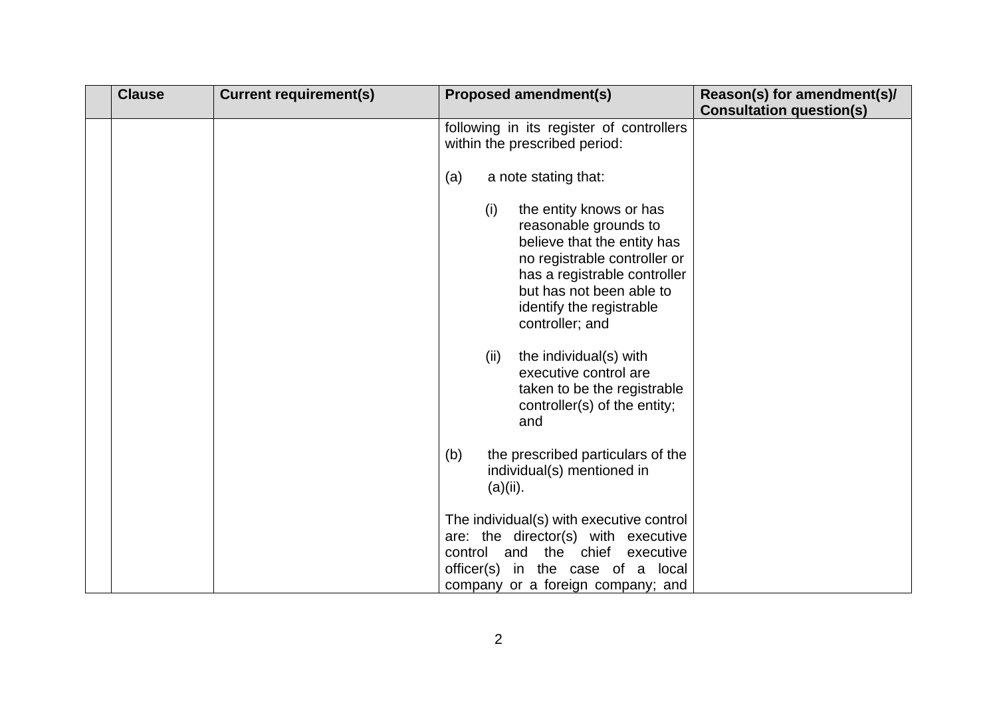| <b>Clause</b> | <b>Current requirement(s)</b> |     |          | <b>Proposed amendment(s)</b>                                                                                                                                                                                               | Reason(s) for amendment(s)/     |
|---------------|-------------------------------|-----|----------|----------------------------------------------------------------------------------------------------------------------------------------------------------------------------------------------------------------------------|---------------------------------|
|               |                               |     |          | following in its register of controllers<br>within the prescribed period:                                                                                                                                                  | <b>Consultation question(s)</b> |
|               |                               | (a) |          | a note stating that:                                                                                                                                                                                                       |                                 |
|               |                               |     | (i)      | the entity knows or has<br>reasonable grounds to<br>believe that the entity has<br>no registrable controller or<br>has a registrable controller<br>but has not been able to<br>identify the registrable<br>controller; and |                                 |
|               |                               |     | (ii)     | the individual(s) with<br>executive control are<br>taken to be the registrable<br>controller(s) of the entity;<br>and                                                                                                      |                                 |
|               |                               | (b) | (a)(ii). | the prescribed particulars of the<br>individual(s) mentioned in                                                                                                                                                            |                                 |
|               |                               |     |          | The individual(s) with executive control<br>are: the director(s) with executive<br>control and the chief executive<br>officer(s) in the case of a local<br>company or a foreign company; and                               |                                 |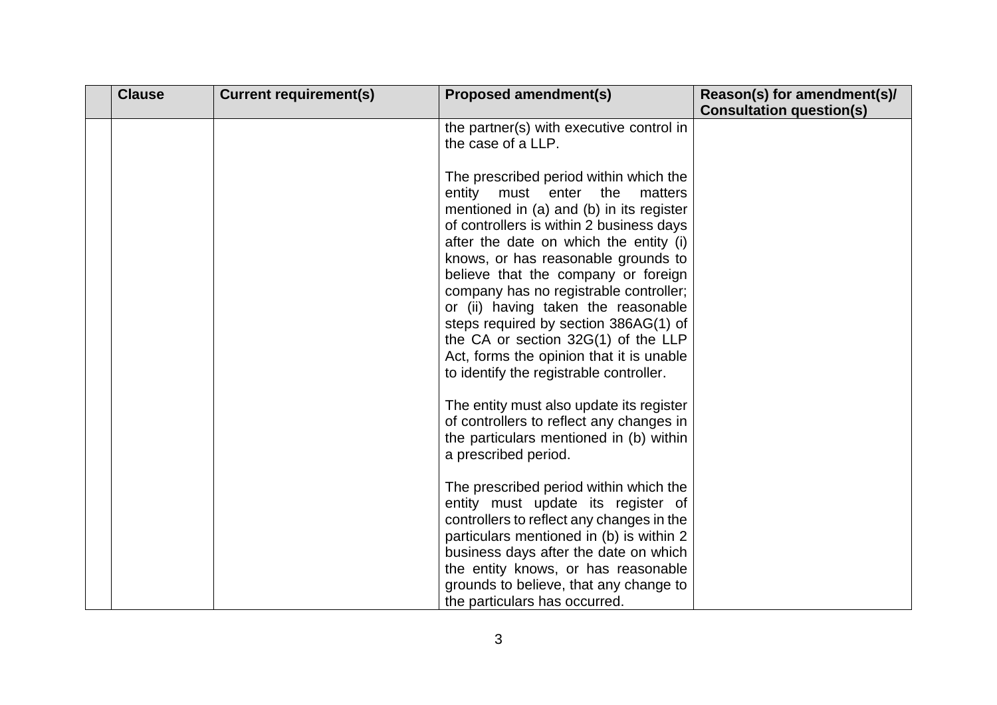| <b>Clause</b> | <b>Current requirement(s)</b> | <b>Proposed amendment(s)</b>                                                                                                                                                                                                                                                                                                                                                                                                                                                                                                                          | Reason(s) for amendment(s)/<br><b>Consultation question(s)</b> |
|---------------|-------------------------------|-------------------------------------------------------------------------------------------------------------------------------------------------------------------------------------------------------------------------------------------------------------------------------------------------------------------------------------------------------------------------------------------------------------------------------------------------------------------------------------------------------------------------------------------------------|----------------------------------------------------------------|
|               |                               | the partner(s) with executive control in<br>the case of a LLP.                                                                                                                                                                                                                                                                                                                                                                                                                                                                                        |                                                                |
|               |                               | The prescribed period within which the<br>the<br>entity must enter<br>matters<br>mentioned in (a) and (b) in its register<br>of controllers is within 2 business days<br>after the date on which the entity (i)<br>knows, or has reasonable grounds to<br>believe that the company or foreign<br>company has no registrable controller;<br>or (ii) having taken the reasonable<br>steps required by section 386AG(1) of<br>the CA or section 32G(1) of the LLP<br>Act, forms the opinion that it is unable<br>to identify the registrable controller. |                                                                |
|               |                               | The entity must also update its register<br>of controllers to reflect any changes in<br>the particulars mentioned in (b) within<br>a prescribed period.                                                                                                                                                                                                                                                                                                                                                                                               |                                                                |
|               |                               | The prescribed period within which the<br>entity must update its register of<br>controllers to reflect any changes in the<br>particulars mentioned in (b) is within 2<br>business days after the date on which<br>the entity knows, or has reasonable<br>grounds to believe, that any change to<br>the particulars has occurred.                                                                                                                                                                                                                      |                                                                |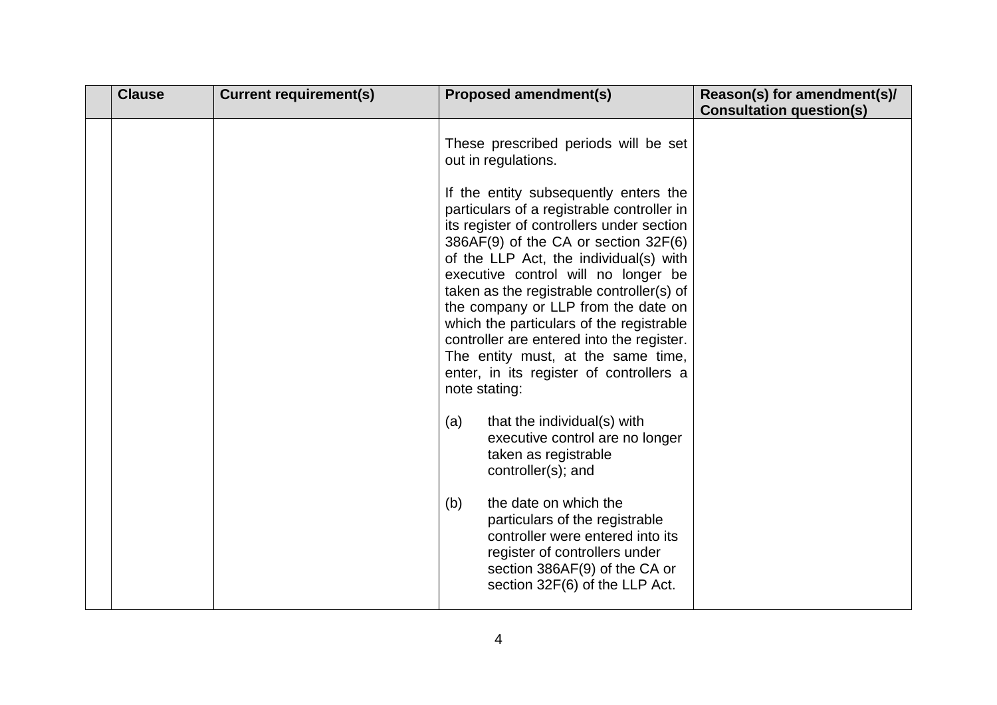| <b>Clause</b> | <b>Current requirement(s)</b> | <b>Proposed amendment(s)</b>                                                                                                                                                                                                                                                                                                                                                                                                                                                                                                                                                                                                                                                                                                                                                                                                                                                                                                             | Reason(s) for amendment(s)/     |
|---------------|-------------------------------|------------------------------------------------------------------------------------------------------------------------------------------------------------------------------------------------------------------------------------------------------------------------------------------------------------------------------------------------------------------------------------------------------------------------------------------------------------------------------------------------------------------------------------------------------------------------------------------------------------------------------------------------------------------------------------------------------------------------------------------------------------------------------------------------------------------------------------------------------------------------------------------------------------------------------------------|---------------------------------|
|               |                               | These prescribed periods will be set<br>out in regulations.<br>If the entity subsequently enters the<br>particulars of a registrable controller in<br>its register of controllers under section<br>386AF(9) of the CA or section 32F(6)<br>of the LLP Act, the individual(s) with<br>executive control will no longer be<br>taken as the registrable controller(s) of<br>the company or LLP from the date on<br>which the particulars of the registrable<br>controller are entered into the register.<br>The entity must, at the same time,<br>enter, in its register of controllers a<br>note stating:<br>that the individual(s) with<br>(a)<br>executive control are no longer<br>taken as registrable<br>controller(s); and<br>the date on which the<br>(b)<br>particulars of the registrable<br>controller were entered into its<br>register of controllers under<br>section 386AF(9) of the CA or<br>section 32F(6) of the LLP Act. | <b>Consultation question(s)</b> |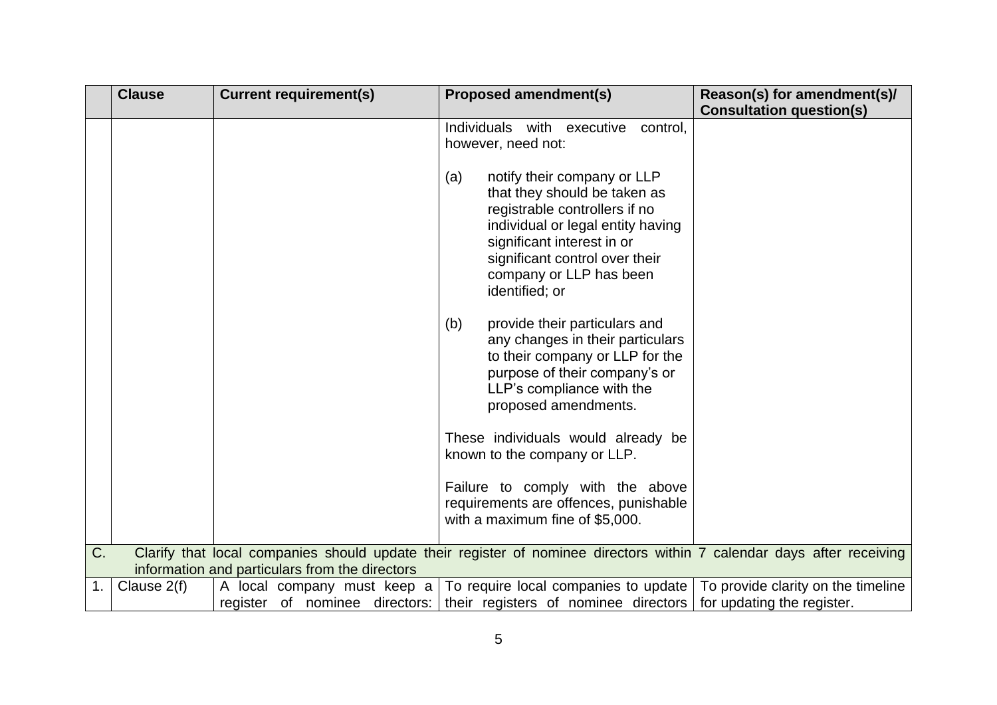|    | <b>Clause</b> | <b>Current requirement(s)</b>                                 | <b>Proposed amendment(s)</b>                                                                                                                                                                                                                                                                                                                                                                      | Reason(s) for amendment(s)/                                      |
|----|---------------|---------------------------------------------------------------|---------------------------------------------------------------------------------------------------------------------------------------------------------------------------------------------------------------------------------------------------------------------------------------------------------------------------------------------------------------------------------------------------|------------------------------------------------------------------|
|    |               |                                                               |                                                                                                                                                                                                                                                                                                                                                                                                   | <b>Consultation question(s)</b>                                  |
|    |               |                                                               | Individuals with executive<br>control.<br>however, need not:<br>notify their company or LLP<br>(a)<br>that they should be taken as<br>registrable controllers if no<br>individual or legal entity having<br>significant interest in or<br>significant control over their<br>company or LLP has been<br>identified; or<br>(b)<br>provide their particulars and<br>any changes in their particulars |                                                                  |
|    |               |                                                               | to their company or LLP for the<br>purpose of their company's or<br>LLP's compliance with the<br>proposed amendments.                                                                                                                                                                                                                                                                             |                                                                  |
|    |               |                                                               | These individuals would already be<br>known to the company or LLP.                                                                                                                                                                                                                                                                                                                                |                                                                  |
|    |               |                                                               | Failure to comply with the above<br>requirements are offences, punishable<br>with a maximum fine of \$5,000.                                                                                                                                                                                                                                                                                      |                                                                  |
| C. |               | information and particulars from the directors                | Clarify that local companies should update their register of nominee directors within 7 calendar days after receiving                                                                                                                                                                                                                                                                             |                                                                  |
| 1. | Clause $2(f)$ | A local company must keep a<br>register of nominee directors: | To require local companies to update<br>their registers of nominee directors                                                                                                                                                                                                                                                                                                                      | To provide clarity on the timeline<br>for updating the register. |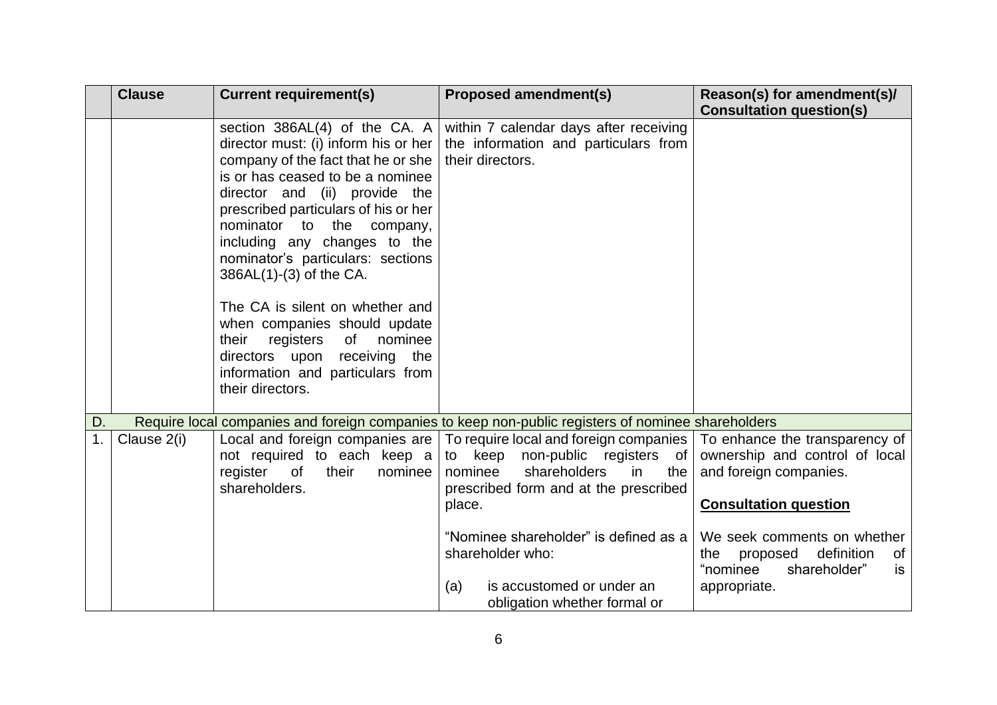|    | <b>Clause</b> | <b>Current requirement(s)</b>                                                                                                                                                                                                                                                                                                                                                                                                                                                                                                                                      | <b>Proposed amendment(s)</b>                                                                                                                                                                                                                                                                                                                                                                              | Reason(s) for amendment(s)/<br><b>Consultation question(s)</b>                                                                                                                 |
|----|---------------|--------------------------------------------------------------------------------------------------------------------------------------------------------------------------------------------------------------------------------------------------------------------------------------------------------------------------------------------------------------------------------------------------------------------------------------------------------------------------------------------------------------------------------------------------------------------|-----------------------------------------------------------------------------------------------------------------------------------------------------------------------------------------------------------------------------------------------------------------------------------------------------------------------------------------------------------------------------------------------------------|--------------------------------------------------------------------------------------------------------------------------------------------------------------------------------|
|    |               | section $386AL(4)$ of the CA. A<br>director must: (i) inform his or her<br>company of the fact that he or she<br>is or has ceased to be a nominee<br>director and (ii) provide the<br>prescribed particulars of his or her<br>nominator to<br>the<br>company,<br>including any changes to the<br>nominator's particulars: sections<br>386AL(1)-(3) of the CA.<br>The CA is silent on whether and<br>when companies should update<br>registers<br>nominee<br>their<br>of<br>directors upon receiving<br>the<br>information and particulars from<br>their directors. | within 7 calendar days after receiving<br>the information and particulars from<br>their directors.                                                                                                                                                                                                                                                                                                        |                                                                                                                                                                                |
| D. |               |                                                                                                                                                                                                                                                                                                                                                                                                                                                                                                                                                                    | Require local companies and foreign companies to keep non-public registers of nominee shareholders                                                                                                                                                                                                                                                                                                        |                                                                                                                                                                                |
| 1. | Clause 2(i)   | not required to each keep a<br>register<br>$\circ$ of<br>their<br>nominee<br>shareholders.                                                                                                                                                                                                                                                                                                                                                                                                                                                                         | Local and foreign companies are   To require local and foreign companies   To enhance the transparency of  <br>to keep non-public registers of ownership and control of local<br>shareholders<br>nominee<br>in<br>the<br>prescribed form and at the prescribed<br>place.<br>"Nominee shareholder" is defined as a<br>shareholder who:<br>is accustomed or under an<br>(a)<br>obligation whether formal or | and foreign companies.<br><b>Consultation question</b><br>We seek comments on whether<br>definition<br>proposed<br>of<br>the<br>"nominee<br>shareholder"<br>is<br>appropriate. |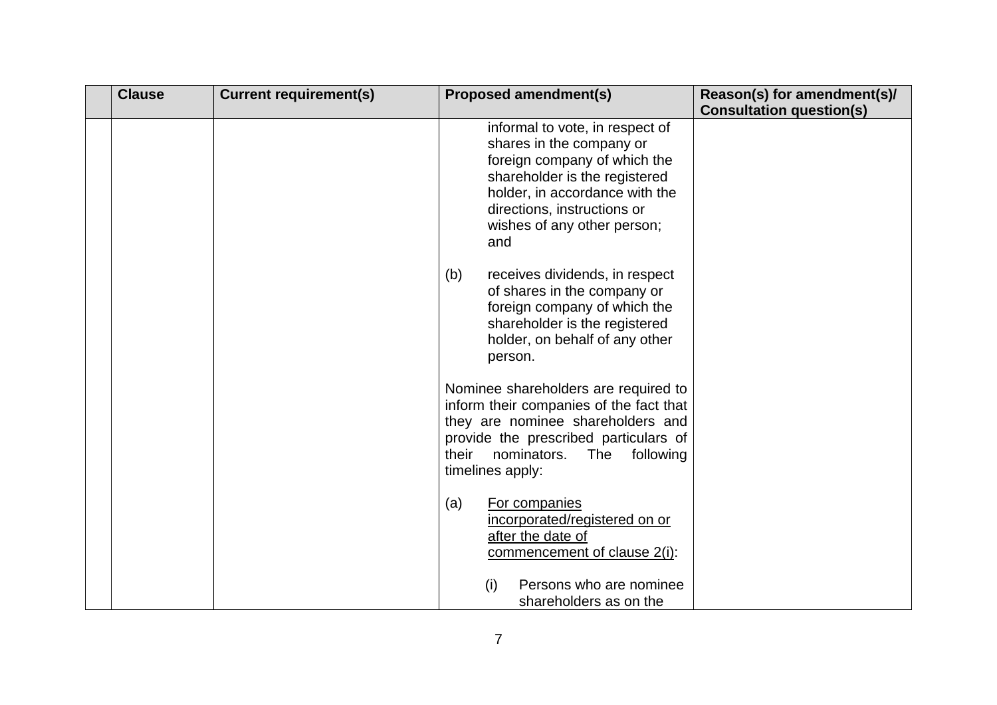| <b>Clause</b> | <b>Current requirement(s)</b> | <b>Proposed amendment(s)</b>                                                                                                                                                                                                        | Reason(s) for amendment(s)/     |
|---------------|-------------------------------|-------------------------------------------------------------------------------------------------------------------------------------------------------------------------------------------------------------------------------------|---------------------------------|
|               |                               |                                                                                                                                                                                                                                     | <b>Consultation question(s)</b> |
|               |                               | informal to vote, in respect of<br>shares in the company or<br>foreign company of which the<br>shareholder is the registered<br>holder, in accordance with the<br>directions, instructions or<br>wishes of any other person;<br>and |                                 |
|               |                               | (b)<br>receives dividends, in respect<br>of shares in the company or<br>foreign company of which the<br>shareholder is the registered<br>holder, on behalf of any other<br>person.                                                  |                                 |
|               |                               | Nominee shareholders are required to<br>inform their companies of the fact that<br>they are nominee shareholders and<br>provide the prescribed particulars of<br>their<br>nominators.<br>The<br>following<br>timelines apply:       |                                 |
|               |                               | For companies<br>(a)<br>incorporated/registered on or<br>after the date of<br>commencement of clause 2(i):<br>Persons who are nominee<br>(i)<br>shareholders as on the                                                              |                                 |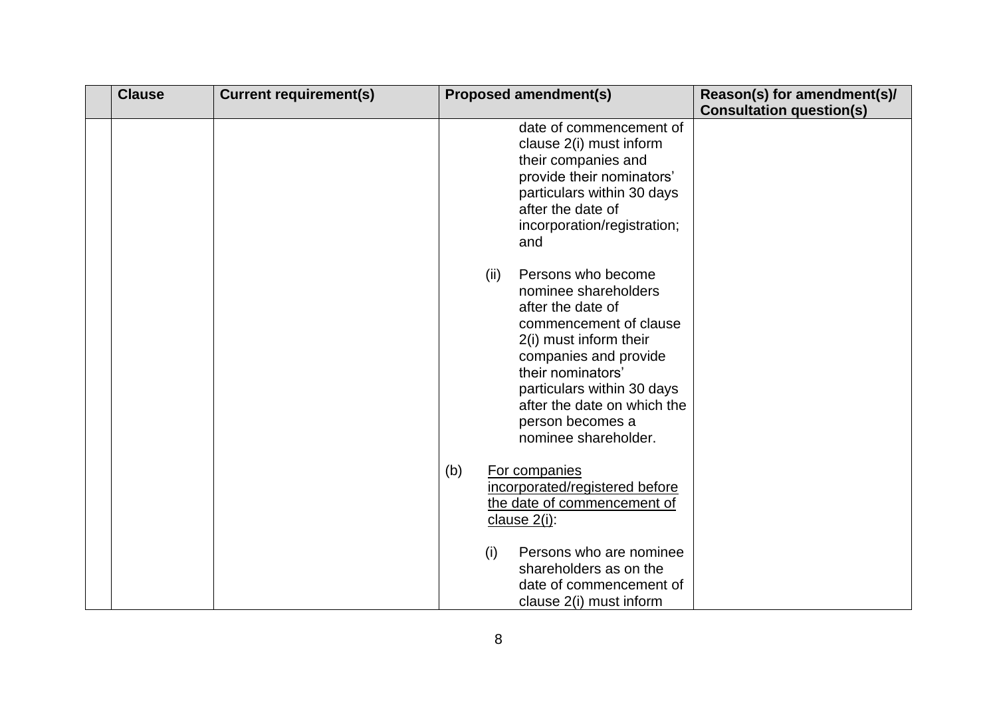| <b>Clause</b> | <b>Current requirement(s)</b> |     |      | <b>Proposed amendment(s)</b>                                                                                                                                                                                                                                               | Reason(s) for amendment(s)/     |
|---------------|-------------------------------|-----|------|----------------------------------------------------------------------------------------------------------------------------------------------------------------------------------------------------------------------------------------------------------------------------|---------------------------------|
|               |                               |     |      |                                                                                                                                                                                                                                                                            | <b>Consultation question(s)</b> |
|               |                               |     |      | date of commencement of<br>clause 2(i) must inform<br>their companies and<br>provide their nominators'<br>particulars within 30 days<br>after the date of<br>incorporation/registration;<br>and                                                                            |                                 |
|               |                               |     | (ii) | Persons who become<br>nominee shareholders<br>after the date of<br>commencement of clause<br>2(i) must inform their<br>companies and provide<br>their nominators'<br>particulars within 30 days<br>after the date on which the<br>person becomes a<br>nominee shareholder. |                                 |
|               |                               | (b) |      | For companies<br>incorporated/registered before<br>the date of commencement of<br>clause 2(i):                                                                                                                                                                             |                                 |
|               |                               |     | (i)  | Persons who are nominee<br>shareholders as on the<br>date of commencement of<br>clause 2(i) must inform                                                                                                                                                                    |                                 |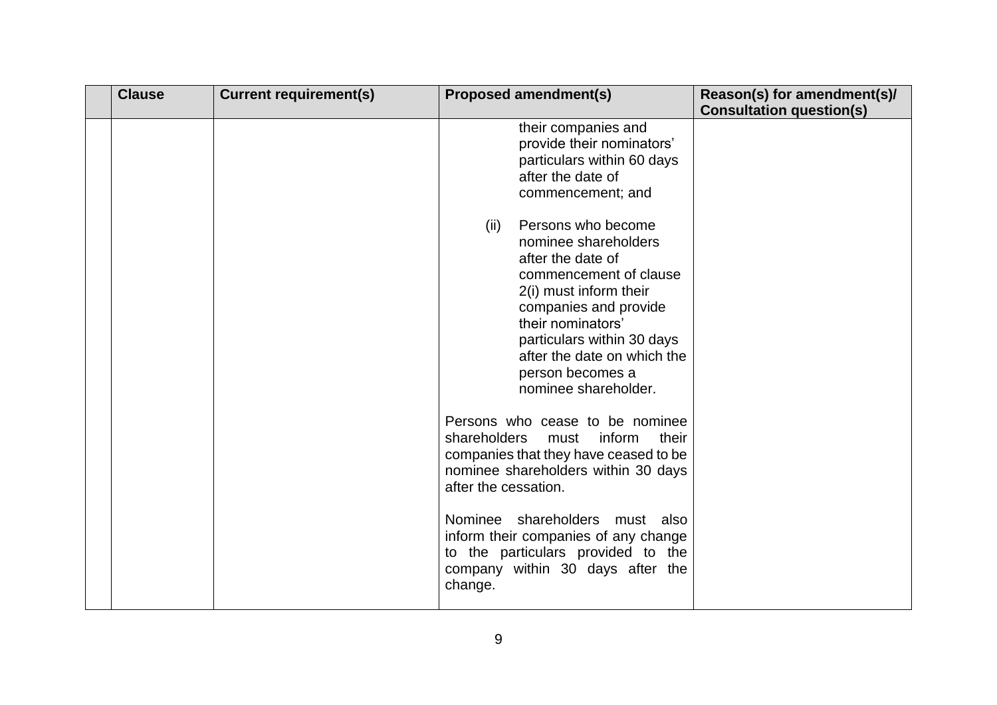| <b>Clause</b> | <b>Current requirement(s)</b> | <b>Proposed amendment(s)</b>                                                                                                                                                                                                                                                                                                                            | Reason(s) for amendment(s)/     |
|---------------|-------------------------------|---------------------------------------------------------------------------------------------------------------------------------------------------------------------------------------------------------------------------------------------------------------------------------------------------------------------------------------------------------|---------------------------------|
|               |                               |                                                                                                                                                                                                                                                                                                                                                         | <b>Consultation question(s)</b> |
|               |                               | their companies and<br>provide their nominators'<br>particulars within 60 days<br>after the date of<br>commencement; and                                                                                                                                                                                                                                |                                 |
|               |                               | Persons who become<br>(ii)<br>nominee shareholders<br>after the date of<br>commencement of clause<br>2(i) must inform their<br>companies and provide<br>their nominators'<br>particulars within 30 days<br>after the date on which the<br>person becomes a<br>nominee shareholder.                                                                      |                                 |
|               |                               | Persons who cease to be nominee<br>shareholders<br>inform<br>their<br>must<br>companies that they have ceased to be<br>nominee shareholders within 30 days<br>after the cessation.<br>shareholders<br>Nominee<br>must also<br>inform their companies of any change<br>to the particulars provided to the<br>company within 30 days after the<br>change. |                                 |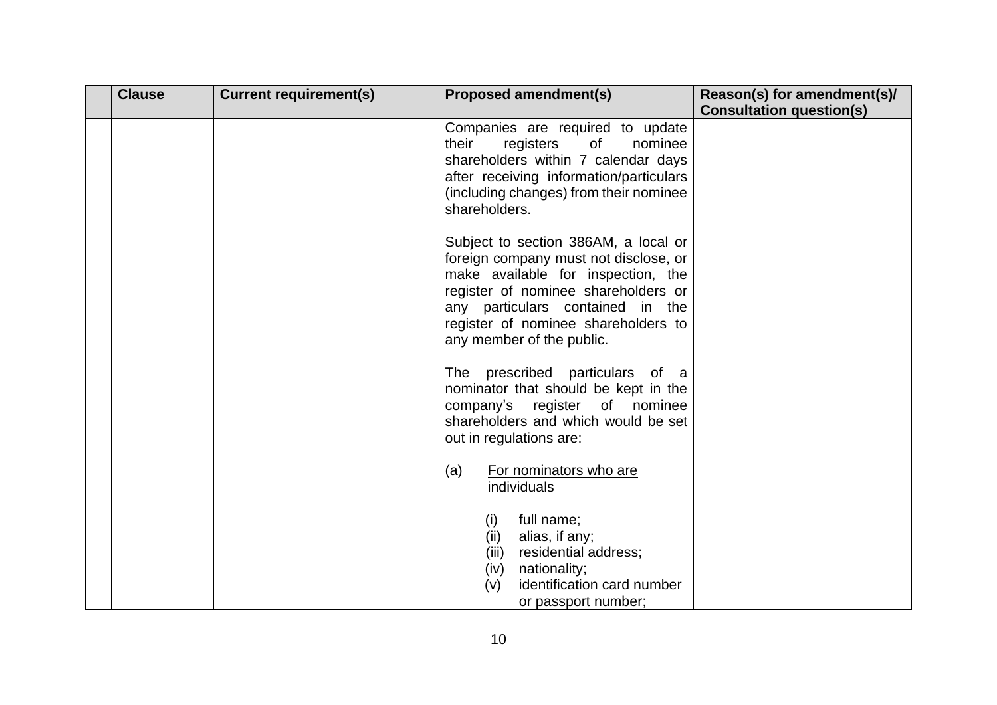| <b>Clause</b> | <b>Current requirement(s)</b> | <b>Proposed amendment(s)</b>                                                                                                                                                                                                                                       | Reason(s) for amendment(s)/     |
|---------------|-------------------------------|--------------------------------------------------------------------------------------------------------------------------------------------------------------------------------------------------------------------------------------------------------------------|---------------------------------|
|               |                               |                                                                                                                                                                                                                                                                    | <b>Consultation question(s)</b> |
|               |                               | Companies are required to update<br>their<br>registers<br>of<br>nominee<br>shareholders within 7 calendar days<br>after receiving information/particulars<br>(including changes) from their nominee<br>shareholders.                                               |                                 |
|               |                               | Subject to section 386AM, a local or<br>foreign company must not disclose, or<br>make available for inspection, the<br>register of nominee shareholders or<br>any particulars contained in the<br>register of nominee shareholders to<br>any member of the public. |                                 |
|               |                               | The prescribed particulars of a<br>nominator that should be kept in the<br>company's register of nominee<br>shareholders and which would be set<br>out in regulations are:                                                                                         |                                 |
|               |                               | For nominators who are<br>(a)<br>individuals                                                                                                                                                                                                                       |                                 |
|               |                               | full name;<br>(i)<br>alias, if any;<br>(ii)<br>residential address;<br>(iii)<br>nationality;<br>(iv)<br>identification card number<br>(v)<br>or passport number;                                                                                                   |                                 |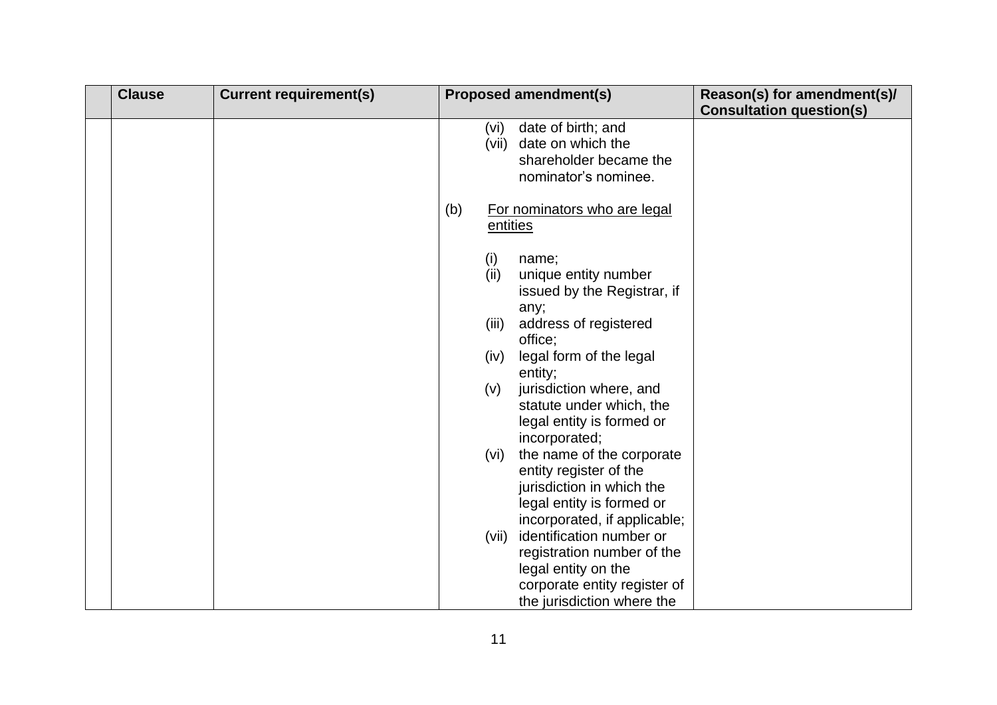| <b>Clause</b> | <b>Current requirement(s)</b> |     |          | <b>Proposed amendment(s)</b> | Reason(s) for amendment(s)/     |
|---------------|-------------------------------|-----|----------|------------------------------|---------------------------------|
|               |                               |     |          |                              | <b>Consultation question(s)</b> |
|               |                               |     | (vi)     | date of birth; and           |                                 |
|               |                               |     |          | (vii) date on which the      |                                 |
|               |                               |     |          | shareholder became the       |                                 |
|               |                               |     |          | nominator's nominee.         |                                 |
|               |                               | (b) |          | For nominators who are legal |                                 |
|               |                               |     | entities |                              |                                 |
|               |                               |     | (i)      | name;                        |                                 |
|               |                               |     | (ii)     | unique entity number         |                                 |
|               |                               |     |          | issued by the Registrar, if  |                                 |
|               |                               |     |          | any;                         |                                 |
|               |                               |     | (iii)    | address of registered        |                                 |
|               |                               |     |          | office;                      |                                 |
|               |                               |     | (iv)     | legal form of the legal      |                                 |
|               |                               |     |          | entity;                      |                                 |
|               |                               |     | (v)      | jurisdiction where, and      |                                 |
|               |                               |     |          | statute under which, the     |                                 |
|               |                               |     |          | legal entity is formed or    |                                 |
|               |                               |     |          | incorporated;                |                                 |
|               |                               |     | (vi)     | the name of the corporate    |                                 |
|               |                               |     |          | entity register of the       |                                 |
|               |                               |     |          | jurisdiction in which the    |                                 |
|               |                               |     |          | legal entity is formed or    |                                 |
|               |                               |     |          | incorporated, if applicable; |                                 |
|               |                               |     | (vii)    | identification number or     |                                 |
|               |                               |     |          | registration number of the   |                                 |
|               |                               |     |          | legal entity on the          |                                 |
|               |                               |     |          | corporate entity register of |                                 |
|               |                               |     |          | the jurisdiction where the   |                                 |